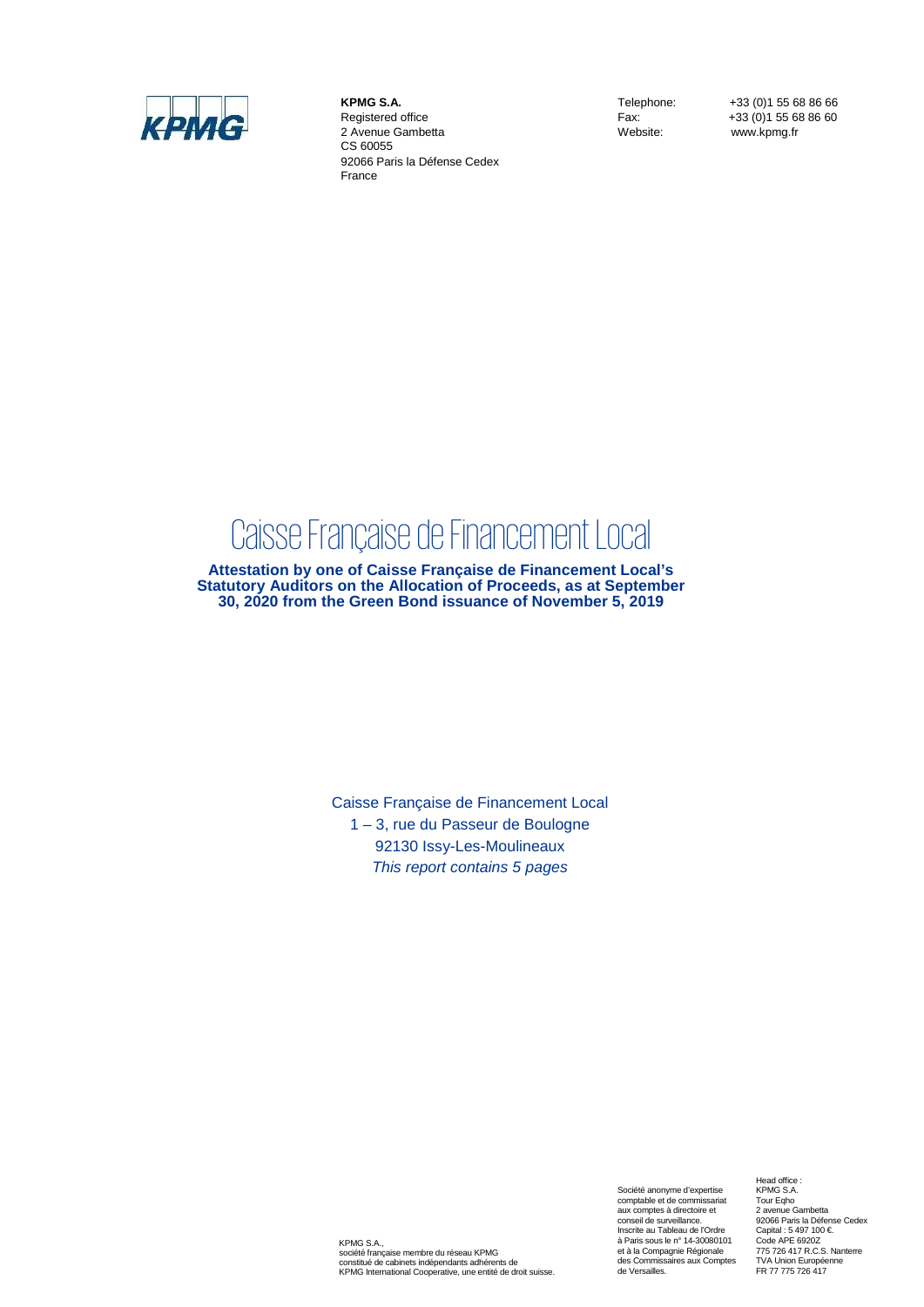

**KPMG S.A.** Registered office 2 Avenue Gambetta CS 60055 92066 Paris la Défense Cedex France

Telephone: +33 (0)1 55 68 86 66<br>Fax: +33 (0)1 55 68 86 60 Fax: +33 (0) 1 55 68 86 60<br>Website: www.kpma.fr www.kpmg.fr

# Caisse Française de Financement Local

**Attestation by one of Caisse Française de Financement Local's Statutory Auditors on the Allocation of Proceeds, as at September 30, 2020 from the Green Bond issuance of November 5, 2019**

> Caisse Française de Financement Local 1 – 3, rue du Passeur de Boulogne 92130 Issy-Les-Moulineaux *This report contains 5 pages*

KPMG S.A., société française membre du réseau KPMG constitué de cabinets indépendants adhérents de KPMG International Cooperative, une entité de droit suisse.

Société anonyme d'expertise comptable et de commissariat aux comptes à directoire et conseil de surveillance. Inscrite au Tableau de l'Ordre à Paris sous le n° 14-30080101 et à la Compagnie Régionale des Commissaires aux Comptes de Versailles.

Head office : KPMG S.A. Tour Eqho 2 avenue Gambetta 92066 Paris la Défense Cedex Capital : 5 497 100 €. Code APE 6920Z 775 726 417 R.C.S. Nanterre TVA Union Européenne FR 77 775 726 417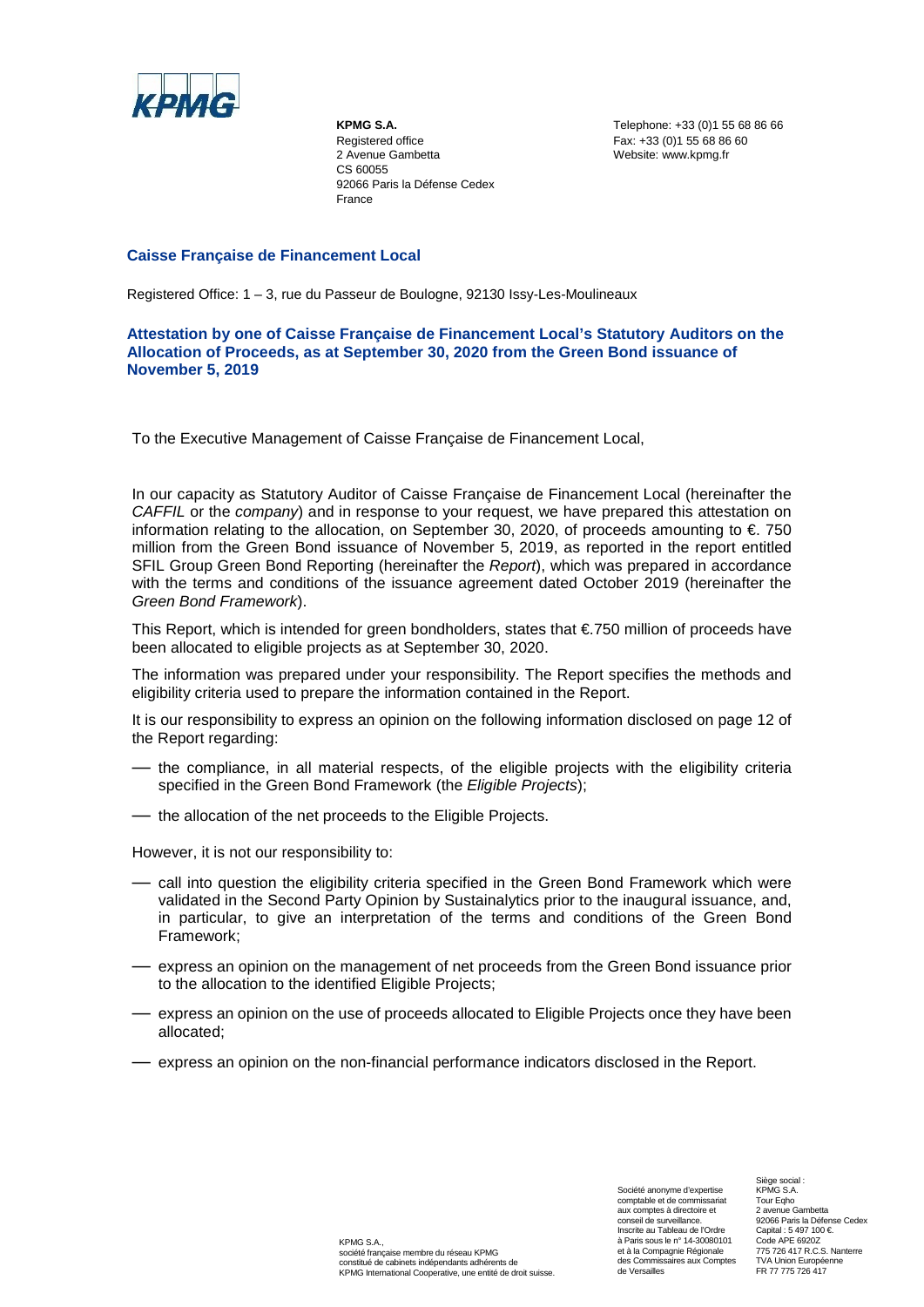

**KPMG S.A.** Registered office 2 Avenue Gambetta CS 60055 92066 Paris la Défense Cedex France

Telephone: +33 (0)1 55 68 86 66 Fax: +33 (0)1 55 68 86 60 Website: www.kpmg.fr

## **Caisse Française de Financement Local**

Registered Office: 1 – 3, rue du Passeur de Boulogne, 92130 Issy-Les-Moulineaux

## **Attestation by one of Caisse Française de Financement Local's Statutory Auditors on the Allocation of Proceeds, as at September 30, 2020 from the Green Bond issuance of November 5, 2019**

To the Executive Management of Caisse Française de Financement Local,

In our capacity as Statutory Auditor of Caisse Française de Financement Local (hereinafter the *CAFFIL* or the *company*) and in response to your request, we have prepared this attestation on information relating to the allocation, on September 30, 2020, of proceeds amounting to  $\epsilon$  750 million from the Green Bond issuance of November 5, 2019, as reported in the report entitled SFIL Group Green Bond Reporting (hereinafter the *Report*), which was prepared in accordance with the terms and conditions of the issuance agreement dated October 2019 (hereinafter the *Green Bond Framework*).

This Report, which is intended for green bondholders, states that  $E$ 750 million of proceeds have been allocated to eligible projects as at September 30, 2020.

The information was prepared under your responsibility. The Report specifies the methods and eligibility criteria used to prepare the information contained in the Report.

It is our responsibility to express an opinion on the following information disclosed on page 12 of the Report regarding:

- the compliance, in all material respects, of the eligible projects with the eligibility criteria specified in the Green Bond Framework (the *Eligible Projects*);
- the allocation of the net proceeds to the Eligible Projects.

However, it is not our responsibility to:

- call into question the eligibility criteria specified in the Green Bond Framework which were validated in the Second Party Opinion by Sustainalytics prior to the inaugural issuance, and, in particular, to give an interpretation of the terms and conditions of the Green Bond Framework;
- express an opinion on the management of net proceeds from the Green Bond issuance prior to the allocation to the identified Eligible Projects;
- express an opinion on the use of proceeds allocated to Eligible Projects once they have been allocated;
- express an opinion on the non-financial performance indicators disclosed in the Report.

Société anonyme d'expertise comptable et de commissariat aux comptes à directoire et conseil de surveillance. Inscrite au Tableau de l'Ordre à Paris sous le n° 14-30080101 et à la Compagnie Régionale des Commissaires aux Comptes de Versailles

Siège social : KPMG S.A. **Tour Egho** 2 avenue Gambetta 92066 Paris la Défense Cedex Capital : 5 497 100 €. Code APE 6920Z 775 726 417 R.C.S. Nanterre TVA Union Européenne FR 77 775 726 417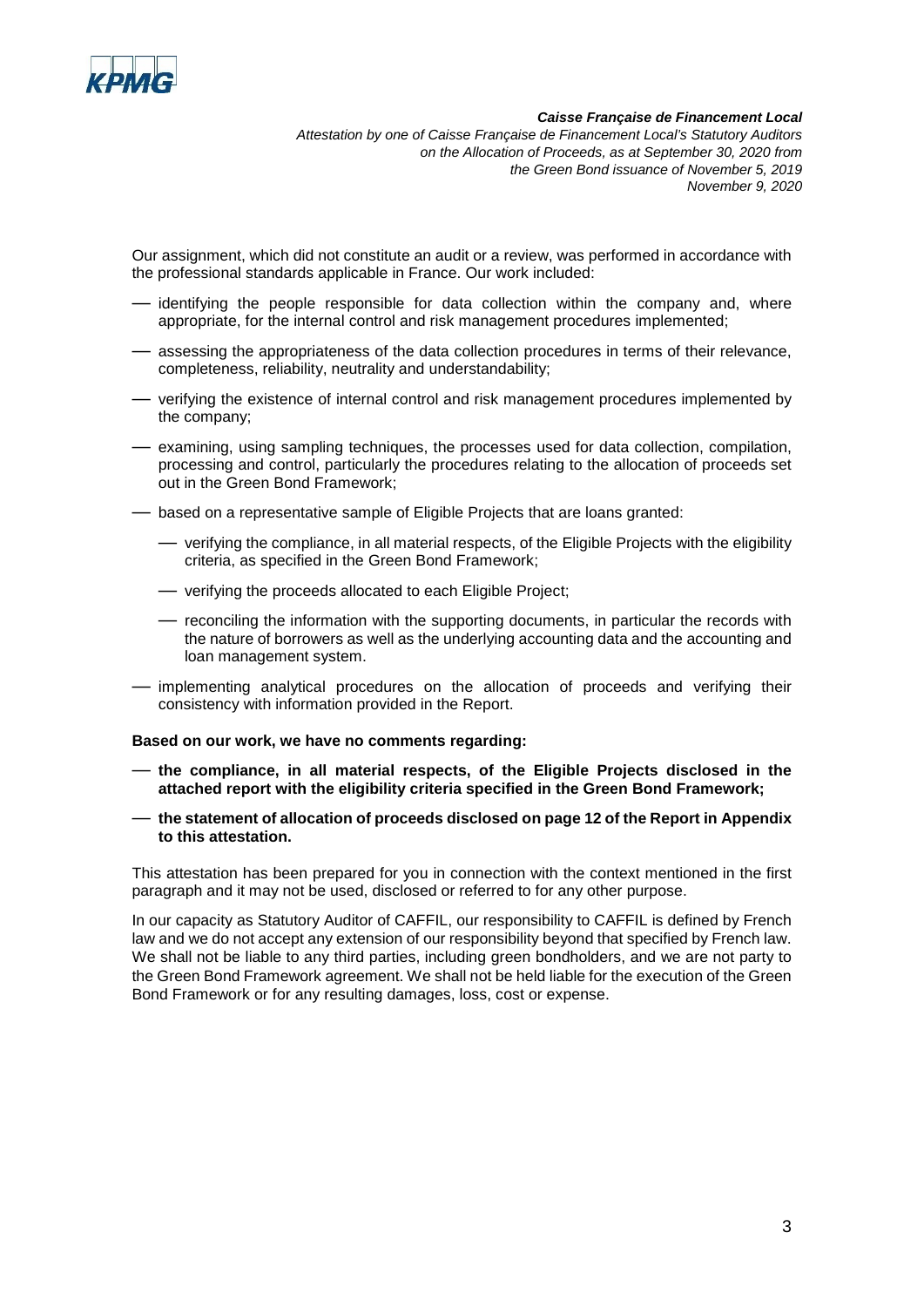

*Caisse Française de Financement Local*

*Attestation by one of Caisse Française de Financement Local's Statutory Auditors on the Allocation of Proceeds, as at September 30, 2020 from the Green Bond issuance of November 5, 2019 November 9, 2020*

Our assignment, which did not constitute an audit or a review, was performed in accordance with the professional standards applicable in France. Our work included:

- identifying the people responsible for data collection within the company and, where appropriate, for the internal control and risk management procedures implemented;
- assessing the appropriateness of the data collection procedures in terms of their relevance, completeness, reliability, neutrality and understandability;
- verifying the existence of internal control and risk management procedures implemented by the company;
- examining, using sampling techniques, the processes used for data collection, compilation, processing and control, particularly the procedures relating to the allocation of proceeds set out in the Green Bond Framework;
- based on a representative sample of Eligible Projects that are loans granted:
	- verifying the compliance, in all material respects, of the Eligible Projects with the eligibility criteria, as specified in the Green Bond Framework;
	- verifying the proceeds allocated to each Eligible Project;
	- reconciling the information with the supporting documents, in particular the records with the nature of borrowers as well as the underlying accounting data and the accounting and loan management system.
- implementing analytical procedures on the allocation of proceeds and verifying their consistency with information provided in the Report.

#### **Based on our work, we have no comments regarding:**

- **the compliance, in all material respects, of the Eligible Projects disclosed in the attached report with the eligibility criteria specified in the Green Bond Framework;**
- **the statement of allocation of proceeds disclosed on page 12 of the Report in Appendix to this attestation.**

This attestation has been prepared for you in connection with the context mentioned in the first paragraph and it may not be used, disclosed or referred to for any other purpose.

In our capacity as Statutory Auditor of CAFFIL, our responsibility to CAFFIL is defined by French law and we do not accept any extension of our responsibility beyond that specified by French law. We shall not be liable to any third parties, including green bondholders, and we are not party to the Green Bond Framework agreement. We shall not be held liable for the execution of the Green Bond Framework or for any resulting damages, loss, cost or expense.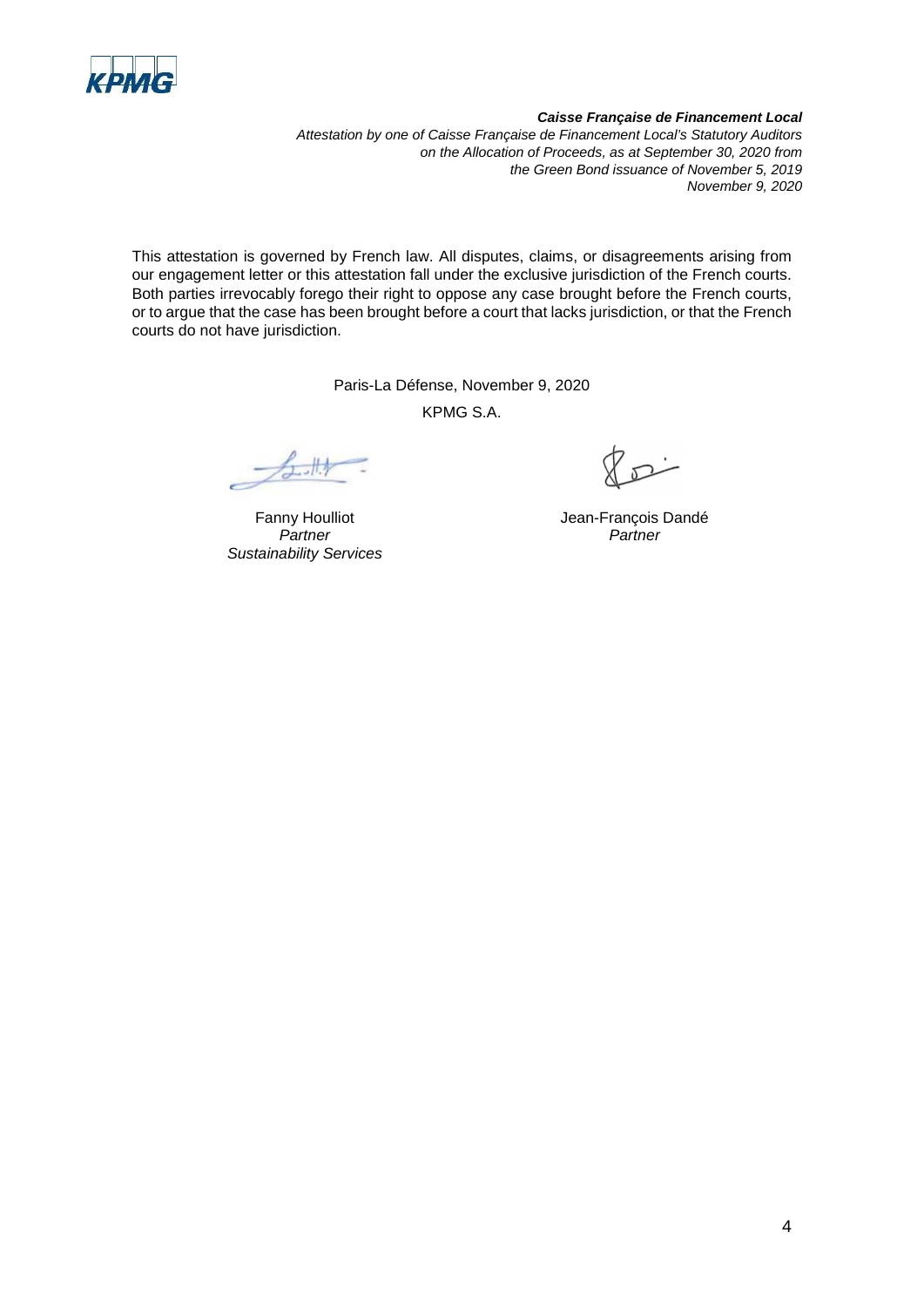

#### *Caisse Française de Financement Local*

*Attestation by one of Caisse Française de Financement Local's Statutory Auditors on the Allocation of Proceeds, as at September 30, 2020 from the Green Bond issuance of November 5, 2019 November 9, 2020*

This attestation is governed by French law. All disputes, claims, or disagreements arising from our engagement letter or this attestation fall under the exclusive jurisdiction of the French courts. Both parties irrevocably forego their right to oppose any case brought before the French courts, or to argue that the case has been brought before a court that lacks jurisdiction, or that the French courts do not have jurisdiction.

Paris-La Défense, November 9, 2020

KPMG S.A.

 $1/3$ 

Fanny Houlliot *Partner Sustainability Services*

 $\overline{\mathcal{P}}$ 

Jean-François Dandé *Partner*